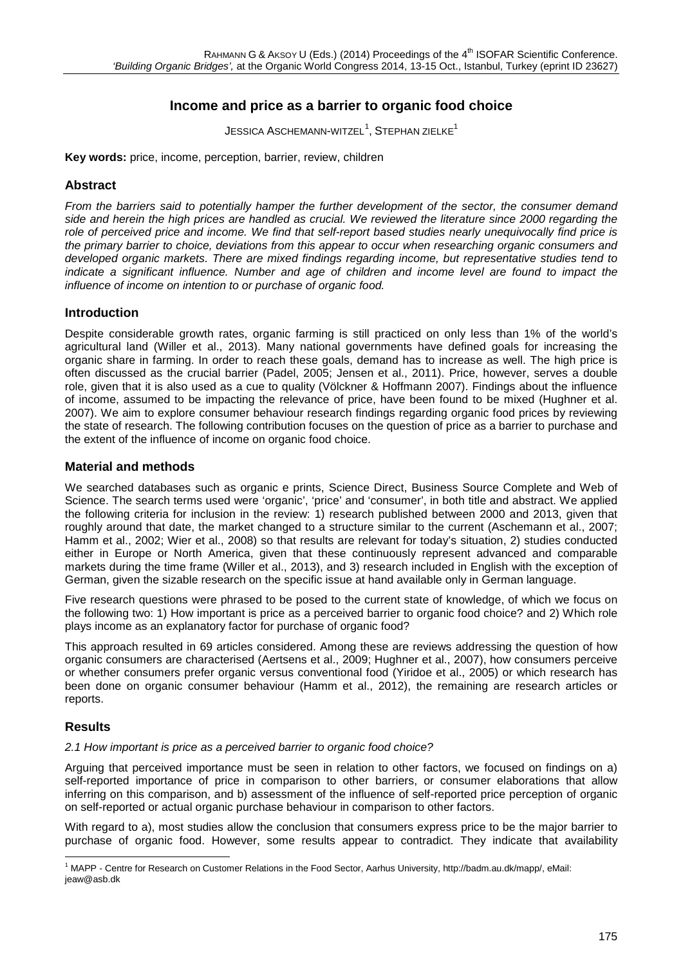# **Income and price as a barrier to organic food choice**

 ${\sf J}$ ESSICA  ${\sf A}$ SCHEMANN-WITZEL $^1$  $^1$ ,  ${\sf S}$ TEPHAN ZIELKE $^1$ 

**Key words:** price, income, perception, barrier, review, children

# **Abstract**

*From the barriers said to potentially hamper the further development of the sector, the consumer demand side and herein the high prices are handled as crucial. We reviewed the literature since 2000 regarding the role of perceived price and income. We find that self-report based studies nearly unequivocally find price is the primary barrier to choice, deviations from this appear to occur when researching organic consumers and developed organic markets. There are mixed findings regarding income, but representative studies tend to indicate a significant influence. Number and age of children and income level are found to impact the influence of income on intention to or purchase of organic food.*

# **Introduction**

Despite considerable growth rates, organic farming is still practiced on only less than 1% of the world's agricultural land (Willer et al., 2013). Many national governments have defined goals for increasing the organic share in farming. In order to reach these goals, demand has to increase as well. The high price is often discussed as the crucial barrier (Padel, 2005; Jensen et al., 2011). Price, however, serves a double role, given that it is also used as a cue to quality (Völckner & Hoffmann 2007). Findings about the influence of income, assumed to be impacting the relevance of price, have been found to be mixed (Hughner et al. 2007). We aim to explore consumer behaviour research findings regarding organic food prices by reviewing the state of research. The following contribution focuses on the question of price as a barrier to purchase and the extent of the influence of income on organic food choice.

# **Material and methods**

We searched databases such as organic e prints, Science Direct, Business Source Complete and Web of Science. The search terms used were 'organic', 'price' and 'consumer', in both title and abstract. We applied the following criteria for inclusion in the review: 1) research published between 2000 and 2013, given that roughly around that date, the market changed to a structure similar to the current (Aschemann et al., 2007; Hamm et al., 2002; Wier et al., 2008) so that results are relevant for today's situation, 2) studies conducted either in Europe or North America, given that these continuously represent advanced and comparable markets during the time frame (Willer et al., 2013), and 3) research included in English with the exception of German, given the sizable research on the specific issue at hand available only in German language.

Five research questions were phrased to be posed to the current state of knowledge, of which we focus on the following two: 1) How important is price as a perceived barrier to organic food choice? and 2) Which role plays income as an explanatory factor for purchase of organic food?

This approach resulted in 69 articles considered. Among these are reviews addressing the question of how organic consumers are characterised (Aertsens et al., 2009; Hughner et al., 2007), how consumers perceive or whether consumers prefer organic versus conventional food (Yiridoe et al., 2005) or which research has been done on organic consumer behaviour (Hamm et al., 2012), the remaining are research articles or reports.

#### **Results**

#### *2.1 How important is price as a perceived barrier to organic food choice?*

Arguing that perceived importance must be seen in relation to other factors, we focused on findings on a) self-reported importance of price in comparison to other barriers, or consumer elaborations that allow inferring on this comparison, and b) assessment of the influence of self-reported price perception of organic on self-reported or actual organic purchase behaviour in comparison to other factors.

With regard to a), most studies allow the conclusion that consumers express price to be the major barrier to purchase of organic food. However, some results appear to contradict. They indicate that availability

<span id="page-0-0"></span><sup>1</sup> MAPP - Centre for Research on Customer Relations in the Food Sector, Aarhus University, [http://badm.au.dk/mapp/,](http://badm.au.dk/mapp/) eMail: [jeaw@asb.dk](mailto:jeaw@asb.dk)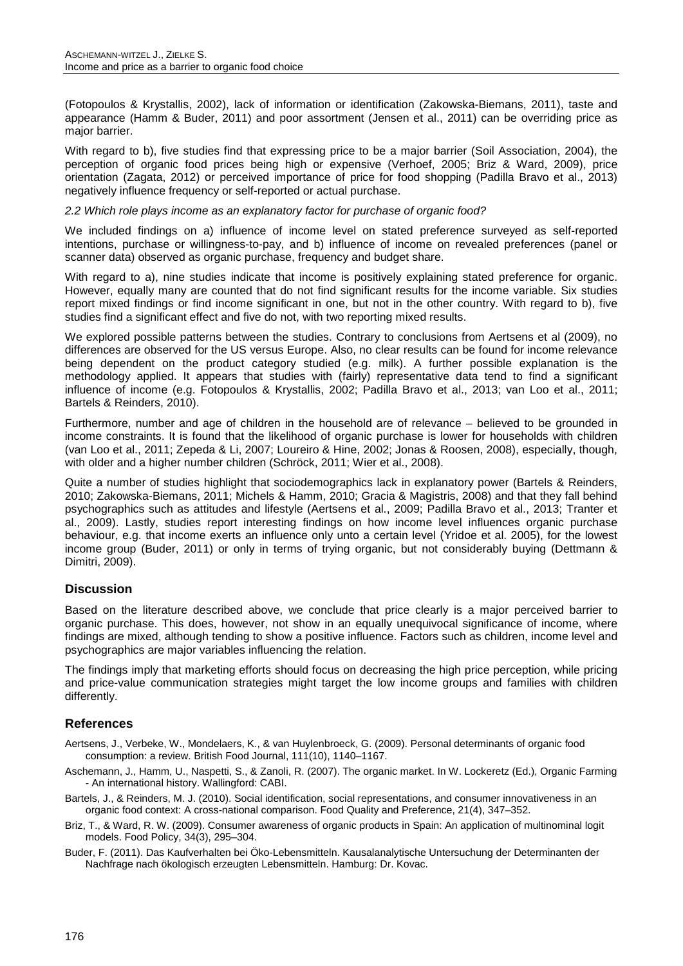(Fotopoulos & Krystallis, 2002), lack of information or identification (Zakowska-Biemans, 2011), taste and appearance (Hamm & Buder, 2011) and poor assortment (Jensen et al., 2011) can be overriding price as major barrier.

With regard to b), five studies find that expressing price to be a major barrier (Soil Association, 2004), the perception of organic food prices being high or expensive (Verhoef, 2005; Briz & Ward, 2009), price orientation (Zagata, 2012) or perceived importance of price for food shopping (Padilla Bravo et al., 2013) negatively influence frequency or self-reported or actual purchase.

#### *2.2 Which role plays income as an explanatory factor for purchase of organic food?*

We included findings on a) influence of income level on stated preference surveyed as self-reported intentions, purchase or willingness-to-pay, and b) influence of income on revealed preferences (panel or scanner data) observed as organic purchase, frequency and budget share.

With regard to a), nine studies indicate that income is positively explaining stated preference for organic. However, equally many are counted that do not find significant results for the income variable. Six studies report mixed findings or find income significant in one, but not in the other country. With regard to b), five studies find a significant effect and five do not, with two reporting mixed results.

We explored possible patterns between the studies. Contrary to conclusions from Aertsens et al (2009), no differences are observed for the US versus Europe. Also, no clear results can be found for income relevance being dependent on the product category studied (e.g. milk). A further possible explanation is the methodology applied. It appears that studies with (fairly) representative data tend to find a significant influence of income (e.g. Fotopoulos & Krystallis, 2002; Padilla Bravo et al., 2013; van Loo et al., 2011; Bartels & Reinders, 2010).

Furthermore, number and age of children in the household are of relevance – believed to be grounded in income constraints. It is found that the likelihood of organic purchase is lower for households with children (van Loo et al., 2011; Zepeda & Li, 2007; Loureiro & Hine, 2002; Jonas & Roosen, 2008), especially, though, with older and a higher number children (Schröck, 2011; Wier et al., 2008).

Quite a number of studies highlight that sociodemographics lack in explanatory power (Bartels & Reinders, 2010; Zakowska-Biemans, 2011; Michels & Hamm, 2010; Gracia & Magistris, 2008) and that they fall behind psychographics such as attitudes and lifestyle (Aertsens et al., 2009; Padilla Bravo et al., 2013; Tranter et al., 2009). Lastly, studies report interesting findings on how income level influences organic purchase behaviour, e.g. that income exerts an influence only unto a certain level (Yridoe et al. 2005), for the lowest income group (Buder, 2011) or only in terms of trying organic, but not considerably buying (Dettmann & Dimitri, 2009).

#### **Discussion**

Based on the literature described above, we conclude that price clearly is a major perceived barrier to organic purchase. This does, however, not show in an equally unequivocal significance of income, where findings are mixed, although tending to show a positive influence. Factors such as children, income level and psychographics are major variables influencing the relation.

The findings imply that marketing efforts should focus on decreasing the high price perception, while pricing and price-value communication strategies might target the low income groups and families with children differently.

# **References**

- Aertsens, J., Verbeke, W., Mondelaers, K., & van Huylenbroeck, G. (2009). Personal determinants of organic food consumption: a review. British Food Journal, 111(10), 1140–1167.
- Aschemann, J., Hamm, U., Naspetti, S., & Zanoli, R. (2007). The organic market. In W. Lockeretz (Ed.), Organic Farming - An international history. Wallingford: CABI.
- Bartels, J., & Reinders, M. J. (2010). Social identification, social representations, and consumer innovativeness in an organic food context: A cross-national comparison. Food Quality and Preference, 21(4), 347–352.
- Briz, T., & Ward, R. W. (2009). Consumer awareness of organic products in Spain: An application of multinominal logit models. Food Policy, 34(3), 295–304.
- Buder, F. (2011). Das Kaufverhalten bei Öko-Lebensmitteln. Kausalanalytische Untersuchung der Determinanten der Nachfrage nach ökologisch erzeugten Lebensmitteln. Hamburg: Dr. Kovac.